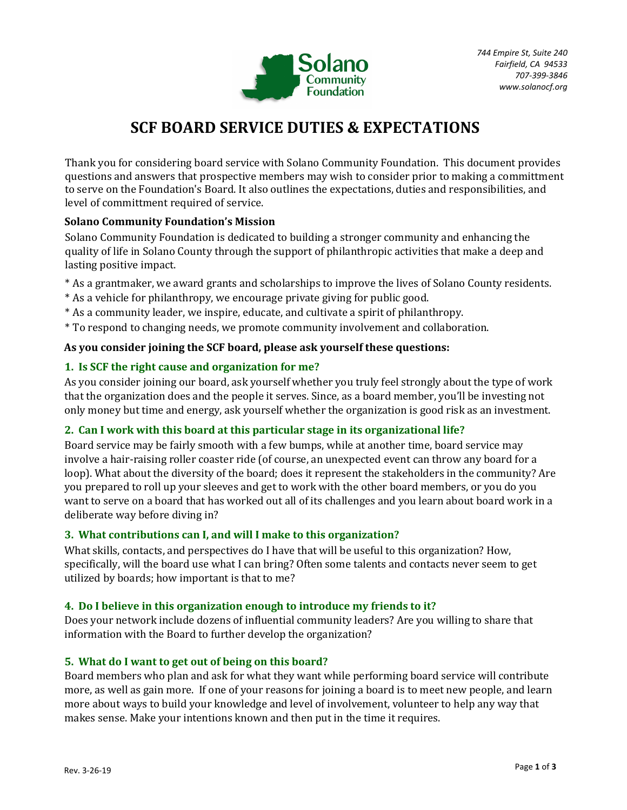

# **SCF BOARD SERVICE DUTIES & EXPECTATIONS**

Thank you for considering board service with Solano Community Foundation. This document provides questions and answers that prospective members may wish to consider prior to making a committment to serve on the Foundation's Board. It also outlines the expectations, duties and responsibilities, and level of committment required of service.

# **Solano Community Foundation's Mission**

Solano Community Foundation is dedicated to building a stronger community and enhancing the quality of life in Solano County through the support of philanthropic activities that make a deep and lasting positive impact.

- \* As a grantmaker, we award grants and scholarships to improve the lives of Solano County residents.
- \* As a vehicle for philanthropy, we encourage private giving for public good.
- \* As a community leader, we inspire, educate, and cultivate a spirit of philanthropy.
- \* To respond to changing needs, we promote community involvement and collaboration.

# **As you consider joining the SCF board, please ask yourself these questions:**

# **1. Is SCF the right cause and organization for me?**

As you consider joining our board, ask yourself whether you truly feel strongly about the type of work that the organization does and the people it serves. Since, as a board member, you'll be investing not only money but time and energy, ask yourself whether the organization is good risk as an investment.

# **2. Can I work with this board at this particular stage in its organizational life?**

Board service may be fairly smooth with a few bumps, while at another time, board service may involve a hair-raising roller coaster ride (of course, an unexpected event can throw any board for a loop). What about the diversity of the board; does it represent the stakeholders in the community? Are you prepared to roll up your sleeves and get to work with the other board members, or you do you want to serve on a board that has worked out all of its challenges and you learn about board work in a deliberate way before diving in?

# **3. What contributions can I, and will I make to this organization?**

What skills, contacts, and perspectives do I have that will be useful to this organization? How, specifically, will the board use what I can bring? Often some talents and contacts never seem to get utilized by boards; how important is that to me?

## **4. Do I believe in this organization enough to introduce my friends to it?**

Does your network include dozens of influential community leaders? Are you willing to share that information with the Board to further develop the organization?

# **5. What do I want to get out of being on this board?**

Board members who plan and ask for what they want while performing board service will contribute more, as well as gain more. If one of your reasons for joining a board is to meet new people, and learn more about ways to build your knowledge and level of involvement, volunteer to help any way that makes sense. Make your intentions known and then put in the time it requires.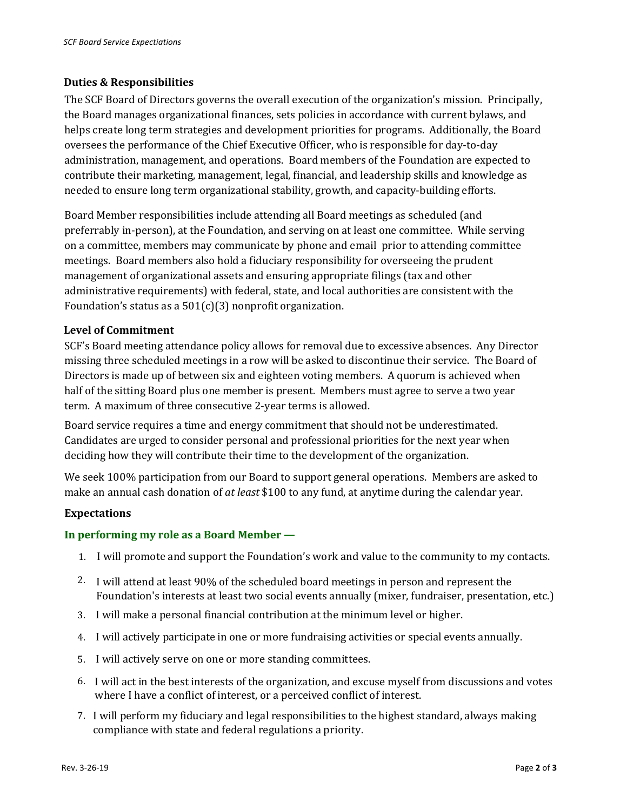#### **Duties & Responsibilities**

The SCF Board of Directors governs the overall execution of the organization's mission. Principally, the Board manages organizational finances, sets policies in accordance with current bylaws, and helps create long term strategies and development priorities for programs. Additionally, the Board oversees the performance of the Chief Executive Officer, who is responsible for day-to-day administration, management, and operations. Board members of the Foundation are expected to contribute their marketing, management, legal, financial, and leadership skills and knowledge as needed to ensure long term organizational stability, growth, and capacity-building efforts.

Board Member responsibilities include attending all Board meetings as scheduled (and preferrably in-person), at the Foundation, and serving on at least one committee. While serving on a committee, members may communicate by phone and email prior to attending committee meetings. Board members also hold a fiduciary responsibility for overseeing the prudent management of organizational assets and ensuring appropriate filings (tax and other administrative requirements) with federal, state, and local authorities are consistent with the Foundation's status as a  $501(c)(3)$  nonprofit organization.

#### **Level of Commitment**

SCF's Board meeting attendance policy allows for removal due to excessive absences. Any Director missing three scheduled meetings in a row will be asked to discontinue their service. The Board of Directors is made up of between six and eighteen voting members. A quorum is achieved when half of the sitting Board plus one member is present. Members must agree to serve a two year term. A maximum of three consecutive 2-year terms is allowed.

Board service requires a time and energy commitment that should not be underestimated. Candidates are urged to consider personal and professional priorities for the next year when deciding how they will contribute their time to the development of the organization.

We seek 100% participation from our Board to support general operations. Members are asked to make an annual cash donation of *at least* \$100 to any fund, at anytime during the calendar year.

#### **Expectations**

## **In performing my role as a Board Member —**

- 1. I will promote and support the Foundation's work and value to the community to my contacts.
- 2. I will attend at least 90% of the scheduled board meetings in person and represent the Foundation's interests at least two social events annually (mixer, fundraiser, presentation, etc.)
- 3. I will make a personal financial contribution at the minimum level or higher.
- 4. I will actively participate in one or more fundraising activities or special events annually.
- 5. I will actively serve on one or more standing committees.
- 6. I will act in the best interests of the organization, and excuse myself from discussions and votes where I have a conflict of interest, or a perceived conflict of interest.
- 7. I will perform my fiduciary and legal responsibilities to the highest standard, always making compliance with state and federal regulations a priority.